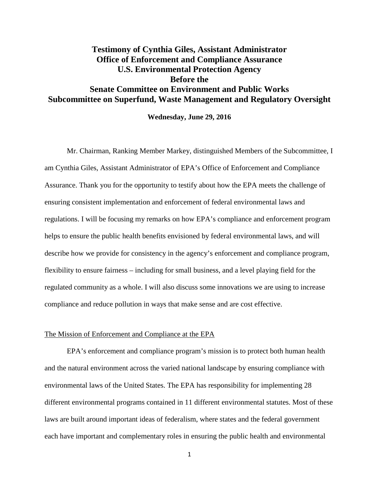# **Testimony of Cynthia Giles, Assistant Administrator Office of Enforcement and Compliance Assurance U.S. Environmental Protection Agency Before the Senate Committee on Environment and Public Works Subcommittee on Superfund, Waste Management and Regulatory Oversight**

**Wednesday, June 29, 2016**

Mr. Chairman, Ranking Member Markey, distinguished Members of the Subcommittee, I am Cynthia Giles, Assistant Administrator of EPA's Office of Enforcement and Compliance Assurance. Thank you for the opportunity to testify about how the EPA meets the challenge of ensuring consistent implementation and enforcement of federal environmental laws and regulations. I will be focusing my remarks on how EPA's compliance and enforcement program helps to ensure the public health benefits envisioned by federal environmental laws, and will describe how we provide for consistency in the agency's enforcement and compliance program, flexibility to ensure fairness – including for small business, and a level playing field for the regulated community as a whole. I will also discuss some innovations we are using to increase compliance and reduce pollution in ways that make sense and are cost effective.

# The Mission of Enforcement and Compliance at the EPA

EPA's enforcement and compliance program's mission is to protect both human health and the natural environment across the varied national landscape by ensuring compliance with environmental laws of the United States. The EPA has responsibility for implementing 28 different environmental programs contained in 11 different environmental statutes. Most of these laws are built around important ideas of federalism, where states and the federal government each have important and complementary roles in ensuring the public health and environmental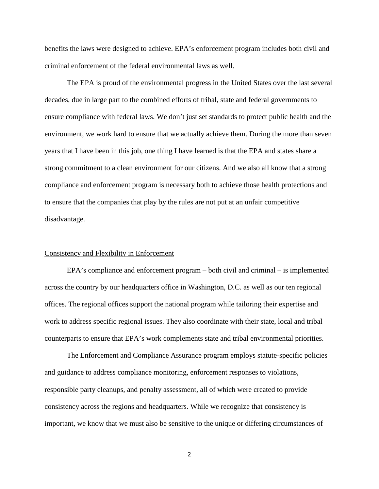benefits the laws were designed to achieve. EPA's enforcement program includes both civil and criminal enforcement of the federal environmental laws as well.

The EPA is proud of the environmental progress in the United States over the last several decades, due in large part to the combined efforts of tribal, state and federal governments to ensure compliance with federal laws. We don't just set standards to protect public health and the environment, we work hard to ensure that we actually achieve them. During the more than seven years that I have been in this job, one thing I have learned is that the EPA and states share a strong commitment to a clean environment for our citizens. And we also all know that a strong compliance and enforcement program is necessary both to achieve those health protections and to ensure that the companies that play by the rules are not put at an unfair competitive disadvantage.

# Consistency and Flexibility in Enforcement

EPA's compliance and enforcement program – both civil and criminal – is implemented across the country by our headquarters office in Washington, D.C. as well as our ten regional offices. The regional offices support the national program while tailoring their expertise and work to address specific regional issues. They also coordinate with their state, local and tribal counterparts to ensure that EPA's work complements state and tribal environmental priorities.

The Enforcement and Compliance Assurance program employs statute-specific policies and guidance to address compliance monitoring, enforcement responses to violations, responsible party cleanups, and penalty assessment, all of which were created to provide consistency across the regions and headquarters. While we recognize that consistency is important, we know that we must also be sensitive to the unique or differing circumstances of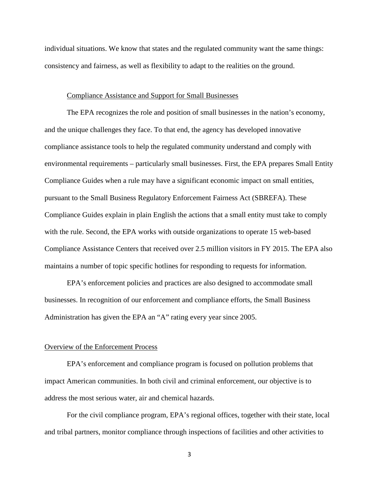individual situations. We know that states and the regulated community want the same things: consistency and fairness, as well as flexibility to adapt to the realities on the ground.

# Compliance Assistance and Support for Small Businesses

The EPA recognizes the role and position of small businesses in the nation's economy, and the unique challenges they face. To that end, the agency has developed innovative compliance assistance tools to help the regulated community understand and comply with environmental requirements – particularly small businesses. First, the EPA prepares Small Entity Compliance Guides when a rule may have a significant economic impact on small entities, pursuant to the Small Business Regulatory Enforcement Fairness Act (SBREFA). These Compliance Guides explain in plain English the actions that a small entity must take to comply with the rule. Second, the EPA works with outside organizations to operate 15 web-based Compliance Assistance Centers that received over 2.5 million visitors in FY 2015. The EPA also maintains a number of topic specific hotlines for responding to requests for information.

EPA's enforcement policies and practices are also designed to accommodate small businesses. In recognition of our enforcement and compliance efforts, the Small Business Administration has given the EPA an "A" rating every year since 2005.

## Overview of the Enforcement Process

EPA's enforcement and compliance program is focused on pollution problems that impact American communities. In both civil and criminal enforcement, our objective is to address the most serious water, air and chemical hazards.

For the civil compliance program, EPA's regional offices, together with their state, local and tribal partners, monitor compliance through inspections of facilities and other activities to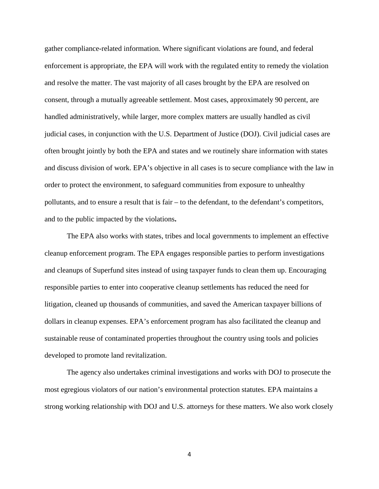gather compliance-related information. Where significant violations are found, and federal enforcement is appropriate, the EPA will work with the regulated entity to remedy the violation and resolve the matter. The vast majority of all cases brought by the EPA are resolved on consent, through a mutually agreeable settlement. Most cases, approximately 90 percent, are handled administratively, while larger, more complex matters are usually handled as civil judicial cases, in conjunction with the U.S. Department of Justice (DOJ). Civil judicial cases are often brought jointly by both the EPA and states and we routinely share information with states and discuss division of work. EPA's objective in all cases is to secure compliance with the law in order to protect the environment, to safeguard communities from exposure to unhealthy pollutants, and to ensure a result that is fair – to the defendant, to the defendant's competitors, and to the public impacted by the violations**.** 

The EPA also works with states, tribes and local governments to implement an effective cleanup enforcement program. The EPA engages responsible parties to perform investigations and cleanups of Superfund sites instead of using taxpayer funds to clean them up. Encouraging responsible parties to enter into cooperative cleanup settlements has reduced the need for litigation, cleaned up thousands of communities, and saved the American taxpayer billions of dollars in cleanup expenses. EPA's enforcement program has also facilitated the cleanup and sustainable reuse of contaminated properties throughout the country using tools and policies developed to promote land revitalization.

The agency also undertakes criminal investigations and works with DOJ to prosecute the most egregious violators of our nation's environmental protection statutes. EPA maintains a strong working relationship with DOJ and U.S. attorneys for these matters. We also work closely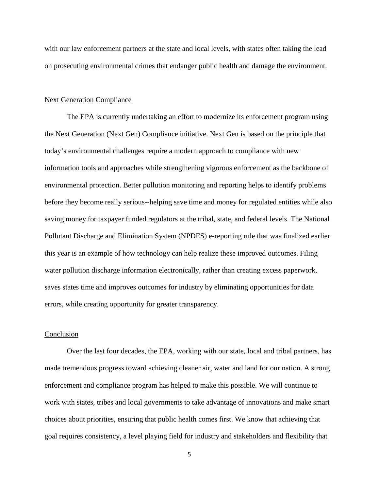with our law enforcement partners at the state and local levels, with states often taking the lead on prosecuting environmental crimes that endanger public health and damage the environment.

# Next Generation Compliance

The EPA is currently undertaking an effort to modernize its enforcement program using the Next Generation (Next Gen) Compliance initiative. Next Gen is based on the principle that today's environmental challenges require a modern approach to compliance with new information tools and approaches while strengthening vigorous enforcement as the backbone of environmental protection. Better pollution monitoring and reporting helps to identify problems before they become really serious--helping save time and money for regulated entities while also saving money for taxpayer funded regulators at the tribal, state, and federal levels. The National Pollutant Discharge and Elimination System (NPDES) e-reporting rule that was finalized earlier this year is an example of how technology can help realize these improved outcomes. Filing water pollution discharge information electronically, rather than creating excess paperwork, saves states time and improves outcomes for industry by eliminating opportunities for data errors, while creating opportunity for greater transparency.

#### Conclusion

Over the last four decades, the EPA, working with our state, local and tribal partners, has made tremendous progress toward achieving cleaner air, water and land for our nation. A strong enforcement and compliance program has helped to make this possible. We will continue to work with states, tribes and local governments to take advantage of innovations and make smart choices about priorities, ensuring that public health comes first. We know that achieving that goal requires consistency, a level playing field for industry and stakeholders and flexibility that